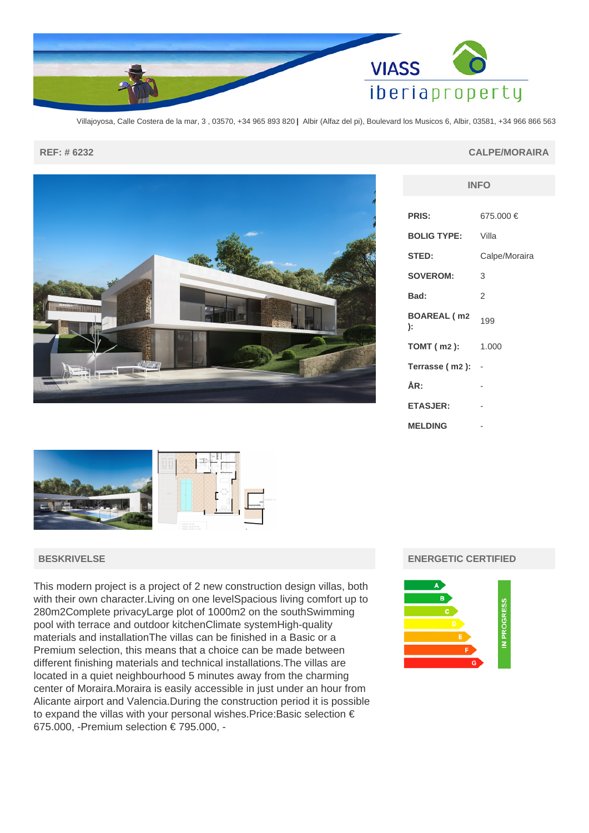

Villajoyosa, Calle Costera de la mar, 3 , 03570, +34 965 893 820 **|** Albir (Alfaz del pi), Boulevard los Musicos 6, Albir, 03581, +34 966 866 563



|                   | ×                                                            |  |
|-------------------|--------------------------------------------------------------|--|
| <b>CONTRACTOR</b> | (455.00)                                                     |  |
|                   | WEREA 160 M2<br>PERSONA SALON AN M2<br>PERSONA SALES 2 25 MZ |  |

## **BESKRIVELSE**

This modern project is a project of 2 new construction design villas, both with their own character.Living on one levelSpacious living comfort up to 280m2Complete privacyLarge plot of 1000m2 on the southSwimming pool with terrace and outdoor kitchenClimate systemHigh-quality materials and installationThe villas can be finished in a Basic or a Premium selection, this means that a choice can be made between different finishing materials and technical installations.The villas are located in a quiet neighbourhood 5 minutes away from the charming center of Moraira.Moraira is easily accessible in just under an hour from Alicante airport and Valencia.During the construction period it is possible to expand the villas with your personal wishes.Price:Basic selection € 675.000, -Premium selection € 795.000, -

#### **REF: # 6232 CALPE/MORAIRA**

| <b>INFO</b>              |               |  |
|--------------------------|---------------|--|
| <b>PRIS:</b>             | 675.000 €     |  |
| <b>BOLIG TYPE:</b>       | Villa         |  |
| STED:                    | Calpe/Moraira |  |
| <b>SOVEROM:</b>          | 3             |  |
| Bad:                     | 2             |  |
| <b>BOAREAL (m2</b><br>): | 199           |  |
| <b>TOMT (m2):</b>        | 1.000         |  |
| Terrasse (m2):           |               |  |
| ÅR:                      |               |  |
| <b>ETASJER:</b>          |               |  |
| <b>MELDING</b>           |               |  |

### **ENERGETIC CERTIFIED**